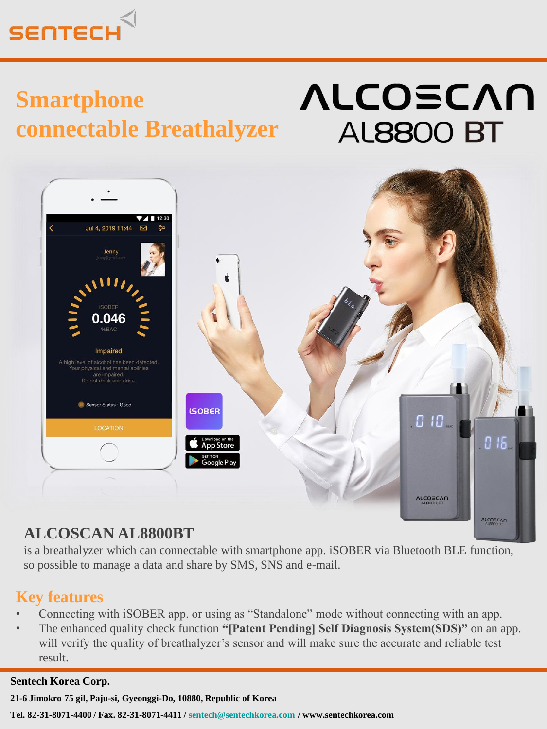

## **Smartphone connectable Breathalyzer**

# **ALCOSCAN AL8800 BT**



## **ALCOSCAN AL8800BT**

is a breathalyzer which can connectable with smartphone app. iSOBER via Bluetooth BLE function, so possible to manage a data and share by SMS, SNS and e-mail.

### **Key features**

- Connecting with iSOBER app. or using as "Standalone" mode without connecting with an app.
- The enhanced quality check function **"[Patent Pending] Self Diagnosis System(SDS)"** on an app. will verify the quality of breathalyzer's sensor and will make sure the accurate and reliable test result.

#### **Sentech Korea Corp.**

**21-6 Jimokro 75 gil, Paju-si, Gyeonggi-Do, 10880, Republic of Korea** 

**Tel. 82-31-8071-4400 / Fax. 82-31-8071-4411 / [sentech@sentechkorea.com](mailto:sentech@sentechkorea.com) / www.sentechkorea.com**